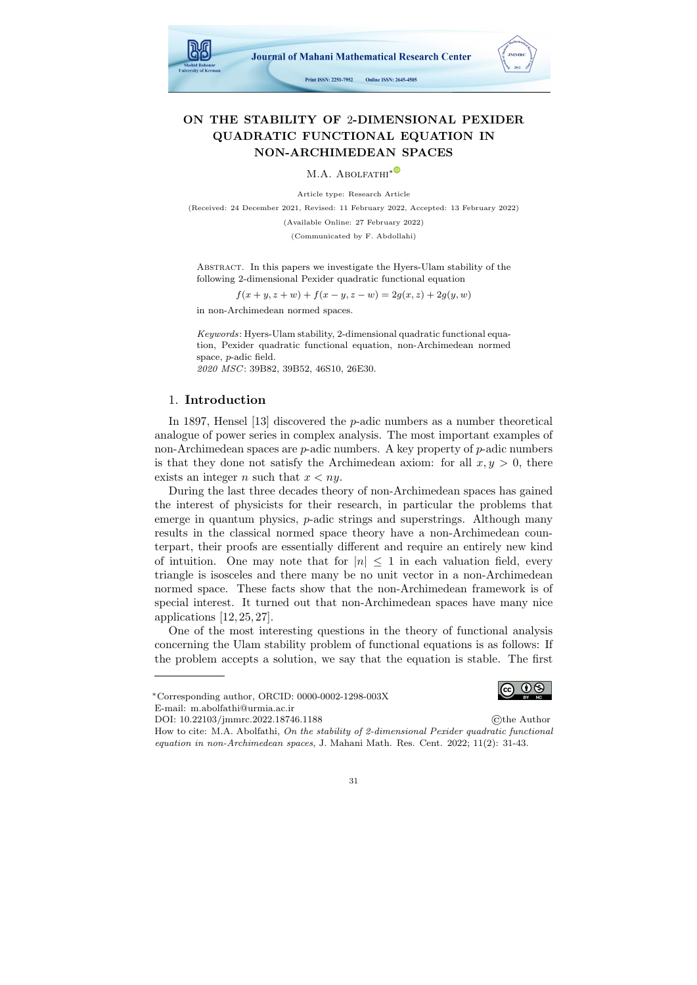

# ON THE STABILITY OF 2-DIMENSIONAL PEXIDER QUADRATIC FUNCTIONAL EQUATION IN NON-ARCHIMEDEAN SPACES

M.A. ABOLFATHI<sup>\*©</sup>

Article type: Research Article

(Received: 24 December 2021, Revised: 11 February 2022, Accepted: 13 February 2022)

(Available Online: 27 February 2022)

(Communicated by F. Abdollahi)

Abstract. In this papers we investigate the Hyers-Ulam stability of the following 2-dimensional Pexider quadratic functional equation

 $f(x + y, z + w) + f(x - y, z - w) = 2g(x, z) + 2g(y, w)$ 

in non-Archimedean normed spaces.

Keywords: Hyers-Ulam stability, 2-dimensional quadratic functional equation, Pexider quadratic functional equation, non-Archimedean normed space, p-adic field. 2020 MSC: 39B82, 39B52, 46S10, 26E30.

## 1. Introduction

In 1897, Hensel [\[13\]](#page-11-0) discovered the p-adic numbers as a number theoretical analogue of power series in complex analysis. The most important examples of non-Archimedean spaces are  $p$ -adic numbers. A key property of  $p$ -adic numbers is that they done not satisfy the Archimedean axiom: for all  $x, y > 0$ , there exists an integer n such that  $x < ny$ .

During the last three decades theory of non-Archimedean spaces has gained the interest of physicists for their research, in particular the problems that emerge in quantum physics, p-adic strings and superstrings. Although many results in the classical normed space theory have a non-Archimedean counterpart, their proofs are essentially different and require an entirely new kind of intuition. One may note that for  $|n| \leq 1$  in each valuation field, every triangle is isosceles and there many be no unit vector in a non-Archimedean normed space. These facts show that the non-Archimedean framework is of special interest. It turned out that non-Archimedean spaces have many nice applications [\[12,](#page-11-1) [25,](#page-11-2) [27\]](#page-11-3).

One of the most interesting questions in the theory of functional analysis concerning the Ulam stability problem of functional equations is as follows: If the problem accepts a solution, we say that the equation is stable. The first

DOI: 10.22103/jmmrc.2022.18746.1188 ©the Author How to cite: M.A. Abolfathi, On the stability of 2-dimensional Pexider quadratic functional equation in non-Archimedean spaces, J. Mahani Math. Res. Cent. 2022; 11(2): 31-43.



<sup>∗</sup>Corresponding author, ORCID: 0000-0002-1298-003X E-mail: m.abolfathi@urmia.ac.ir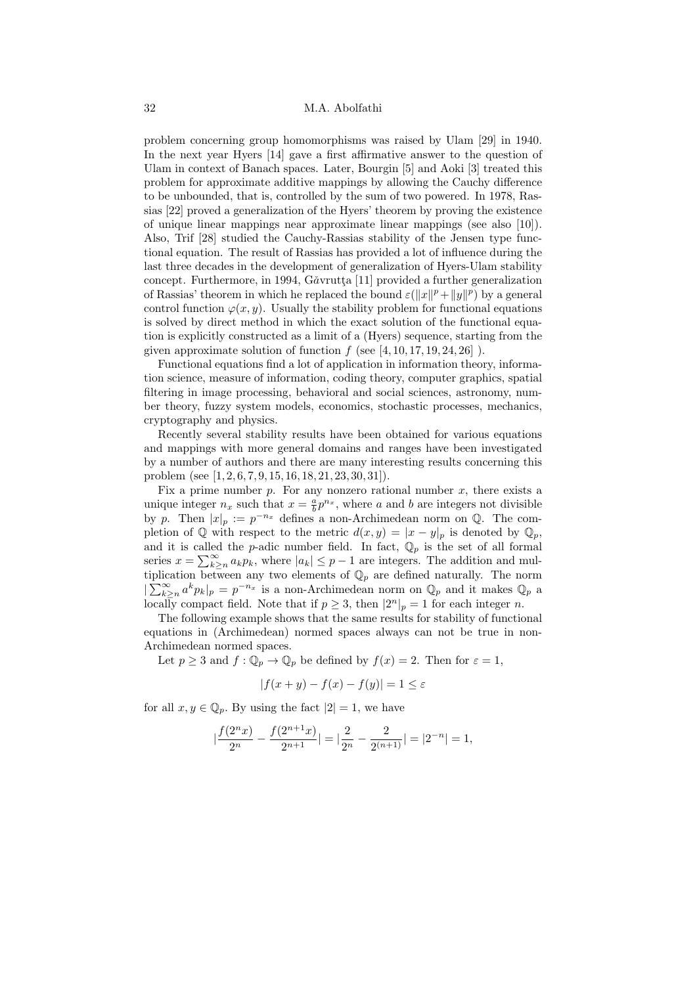problem concerning group homomorphisms was raised by Ulam [\[29\]](#page-11-4) in 1940. In the next year Hyers [\[14\]](#page-11-5) gave a first affirmative answer to the question of Ulam in context of Banach spaces. Later, Bourgin [\[5\]](#page-10-0) and Aoki [\[3\]](#page-10-1) treated this problem for approximate additive mappings by allowing the Cauchy difference to be unbounded, that is, controlled by the sum of two powered. In 1978, Rassias [\[22\]](#page-11-6) proved a generalization of the Hyers' theorem by proving the existence of unique linear mappings near approximate linear mappings (see also [\[10\]](#page-11-7)). Also, Trif [\[28\]](#page-11-8) studied the Cauchy-Rassias stability of the Jensen type functional equation. The result of Rassias has provided a lot of influence during the last three decades in the development of generalization of Hyers-Ulam stability concept. Furthermore, in 1994, Găvrutta [\[11\]](#page-11-9) provided a further generalization of Rassias' theorem in which he replaced the bound  $\varepsilon(\Vert x \Vert^p + \Vert y \Vert^p)$  by a general control function  $\varphi(x, y)$ . Usually the stability problem for functional equations is solved by direct method in which the exact solution of the functional equation is explicitly constructed as a limit of a (Hyers) sequence, starting from the given approximate solution of function  $f$  (see [\[4,](#page-10-2) [10,](#page-11-10) [17,](#page-11-11) [19,](#page-11-12) [24,](#page-11-13) [26\]](#page-11-14)).

Functional equations find a lot of application in information theory, information science, measure of information, coding theory, computer graphics, spatial filtering in image processing, behavioral and social sciences, astronomy, number theory, fuzzy system models, economics, stochastic processes, mechanics, cryptography and physics.

Recently several stability results have been obtained for various equations and mappings with more general domains and ranges have been investigated by a number of authors and there are many interesting results concerning this problem (see [\[1,](#page-10-3) [2,](#page-10-4) [6,](#page-11-15) [7,](#page-11-16) [9,](#page-11-17) [15,](#page-11-18) [16,](#page-11-19) [18,](#page-11-20) [21,](#page-11-21) [23,](#page-11-22) [30,](#page-12-0) [31\]](#page-12-1)).

Fix a prime number  $p$ . For any nonzero rational number  $x$ , there exists a unique integer  $n_x$  such that  $x = \frac{a}{b} p^{n_x}$ , where a and b are integers not divisible by p. Then  $|x|_p := p^{-n_x}$  defines a non-Archimedean norm on Q. The completion of  $\mathbb Q$  with respect to the metric  $d(x, y) = |x - y|_p$  is denoted by  $\mathbb Q_p$ , and it is called the p-adic number field. In fact,  $\mathbb{Q}_p$  is the set of all formal series  $x = \sum_{k\geq n}^{\infty} a_k p_k$ , where  $|a_k| \leq p-1$  are integers. The addition and multiplication between any two elements of  $\mathbb{Q}_p$  are defined naturally. The norm  $|\sum_{k\geq n}^{\infty} a^k p_k|_p = p^{-n_x}$  is a non-Archimedean norm on  $\mathbb{Q}_p$  and it makes  $\mathbb{Q}_p$  a locally compact field. Note that if  $p \geq 3$ , then  $|2^n|_p = 1$  for each integer n.

The following example shows that the same results for stability of functional equations in (Archimedean) normed spaces always can not be true in non-Archimedean normed spaces.

Let  $p \geq 3$  and  $f: \mathbb{Q}_p \to \mathbb{Q}_p$  be defined by  $f(x) = 2$ . Then for  $\varepsilon = 1$ ,

$$
|f(x+y) - f(x) - f(y)| = 1 \le \varepsilon
$$

for all  $x, y \in \mathbb{Q}_p$ . By using the fact  $|2| = 1$ , we have

$$
|\frac{f(2^nx)}{2^n}-\frac{f(2^{n+1}x)}{2^{n+1}}|=|\frac{2}{2^n}-\frac{2}{2^{(n+1)}}|=|2^{-n}|=1,
$$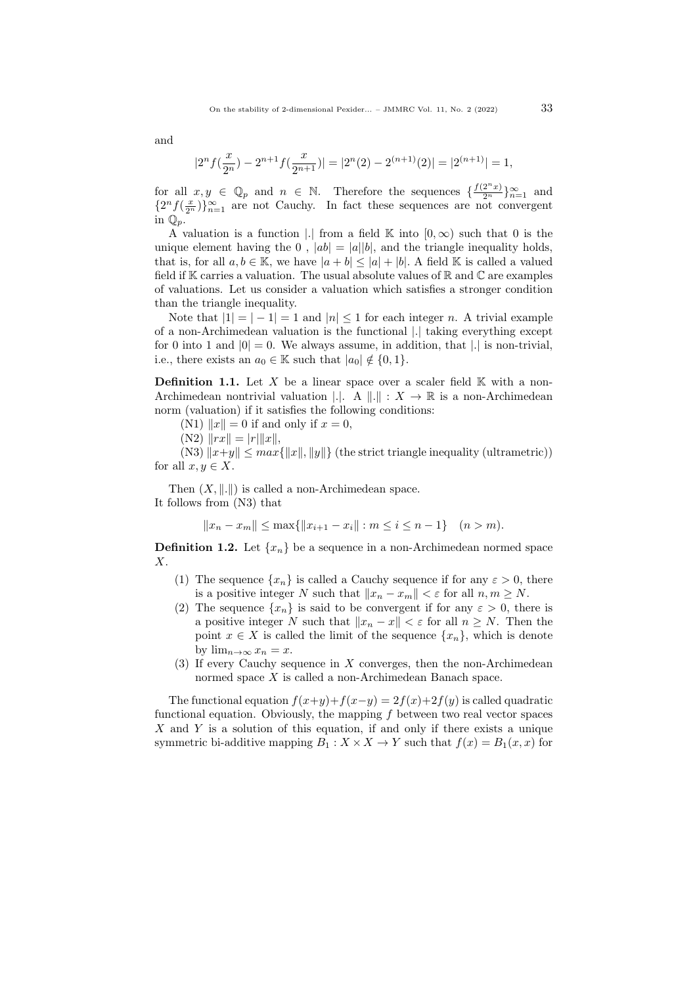and

$$
|2^n f(\frac{x}{2^n}) - 2^{n+1} f(\frac{x}{2^{n+1}})| = |2^n(2) - 2^{(n+1)}(2)| = |2^{(n+1)}| = 1,
$$

for all  $x, y \in \mathbb{Q}_p$  and  $n \in \mathbb{N}$ . Therefore the sequences  $\{\frac{f(2^n x)}{2^n}\}_{n=1}^{\infty}$  and  ${2^n f(\frac{x}{2^n})}_{n=1}^{\infty}$  are not Cauchy. In fact these sequences are not convergent in  $\mathbb{Q}_p$ .

A valuation is a function |. from a field K into  $[0, \infty)$  such that 0 is the unique element having the 0,  $|ab| = |a||b|$ , and the triangle inequality holds, that is, for all  $a, b \in \mathbb{K}$ , we have  $|a + b| \leq |a| + |b|$ . A field K is called a valued field if  $K$  carries a valuation. The usual absolute values of  $R$  and  $C$  are examples of valuations. Let us consider a valuation which satisfies a stronger condition than the triangle inequality.

Note that  $|1| = |-1| = 1$  and  $|n| \le 1$  for each integer n. A trivial example of a non-Archimedean valuation is the functional |.| taking everything except for 0 into 1 and  $|0| = 0$ . We always assume, in addition, that |. is non-trivial, i.e., there exists an  $a_0 \in \mathbb{K}$  such that  $|a_0| \notin \{0, 1\}.$ 

**Definition 1.1.** Let X be a linear space over a scaler field  $K$  with a non-Archimedean nontrivial valuation  $\vert \cdot \vert$ . A  $\vert \vert \cdot \vert \cdot \vert X \to \mathbb{R}$  is a non-Archimedean norm (valuation) if it satisfies the following conditions:

(N1)  $||x|| = 0$  if and only if  $x = 0$ ,

 $(N2)$   $||rx|| = |r| ||x||$ ,

(N3)  $||x+y|| \leq max{||x||, ||y||}$  (the strict triangle inequality (ultrametric)) for all  $x, y \in X$ .

Then  $(X, \|\ldotp\|)$  is called a non-Archimedean space. It follows from (N3) that

 $||x_n - x_m|| \le \max{||x_{i+1} - x_i|| : m \le i \le n-1}$  (n > m).

**Definition 1.2.** Let  $\{x_n\}$  be a sequence in a non-Archimedean normed space X.

- (1) The sequence  $\{x_n\}$  is called a Cauchy sequence if for any  $\varepsilon > 0$ , there is a positive integer N such that  $||x_n - x_m|| < \varepsilon$  for all  $n, m \ge N$ .
- (2) The sequence  $\{x_n\}$  is said to be convergent if for any  $\varepsilon > 0$ , there is a positive integer N such that  $||x_n - x|| < \varepsilon$  for all  $n \geq N$ . Then the point  $x \in X$  is called the limit of the sequence  $\{x_n\}$ , which is denote by  $\lim_{n\to\infty}x_n=x$ .
- (3) If every Cauchy sequence in  $X$  converges, then the non-Archimedean normed space X is called a non-Archimedean Banach space.

The functional equation  $f(x+y)+f(x-y) = 2f(x)+2f(y)$  is called quadratic functional equation. Obviously, the mapping  $f$  between two real vector spaces  $X$  and Y is a solution of this equation, if and only if there exists a unique symmetric bi-additive mapping  $B_1 : X \times X \to Y$  such that  $f(x) = B_1(x, x)$  for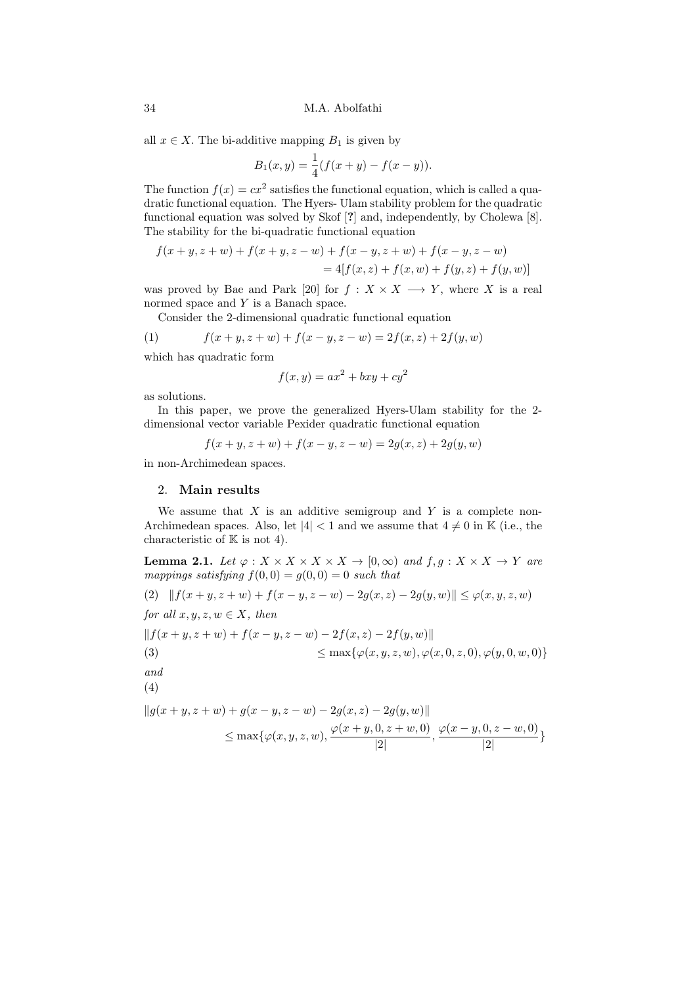all  $x \in X$ . The bi-additive mapping  $B_1$  is given by

$$
B_1(x, y) = \frac{1}{4}(f(x+y) - f(x-y)).
$$

The function  $f(x) = cx^2$  satisfies the functional equation, which is called a quadratic functional equation. The Hyers- Ulam stability problem for the quadratic functional equation was solved by Skof [?] and, independently, by Cholewa [\[8\]](#page-11-23). The stability for the bi-quadratic functional equation

$$
f(x + y, z + w) + f(x + y, z - w) + f(x - y, z + w) + f(x - y, z - w)
$$
  
= 4[f(x, z) + f(x, w) + f(y, z) + f(y, w)]

was proved by Bae and Park [\[20\]](#page-11-24) for  $f : X \times X \longrightarrow Y$ , where X is a real normed space and Y is a Banach space.

<span id="page-3-1"></span>Consider the 2-dimensional quadratic functional equation

(1) 
$$
f(x+y, z+w) + f(x-y, z-w) = 2f(x, z) + 2f(y, w)
$$

which has quadratic form

$$
f(x,y) = ax^2 + bxy + cy^2
$$

as solutions.

In this paper, we prove the generalized Hyers-Ulam stability for the 2 dimensional vector variable Pexider quadratic functional equation

$$
f(x + y, z + w) + f(x - y, z - w) = 2g(x, z) + 2g(y, w)
$$

in non-Archimedean spaces.

#### 2. Main results

We assume that  $X$  is an additive semigroup and  $Y$  is a complete non-Archimedean spaces. Also, let  $|4| < 1$  and we assume that  $4 \neq 0$  in K (i.e., the characteristic of  $K$  is not 4).

**Lemma 2.1.** Let  $\varphi: X \times X \times X \times X \to [0, \infty)$  and  $f, g: X \times X \to Y$  are mappings satisfying  $f(0, 0) = g(0, 0) = 0$  such that

<span id="page-3-0"></span>(2) 
$$
||f(x + y, z + w) + f(x - y, z - w) - 2g(x, z) - 2g(y, w)|| \le \varphi(x, y, z, w)
$$
  
\nfor all  $x, y, z, w \in X$ , then  
\n $||f(x + y, z + w) + f(x - y, z - w) - 2f(x, z) - 2f(y, w)||$   
\n(3)  
\n $\le \max{\varphi(x, y, z, w), \varphi(x, 0, z, 0), \varphi(y, 0, w, 0)}$   
\nand  
\n(4)

$$
||g(x + y, z + w) + g(x - y, z - w) - 2g(x, z) - 2g(y, w)||
$$
  
\$\leq\$ max{ $\varphi(x, y, z, w), \frac{\varphi(x + y, 0, z + w, 0)}{|2|}, \frac{\varphi(x - y, 0, z - w, 0)}{|2|}$}$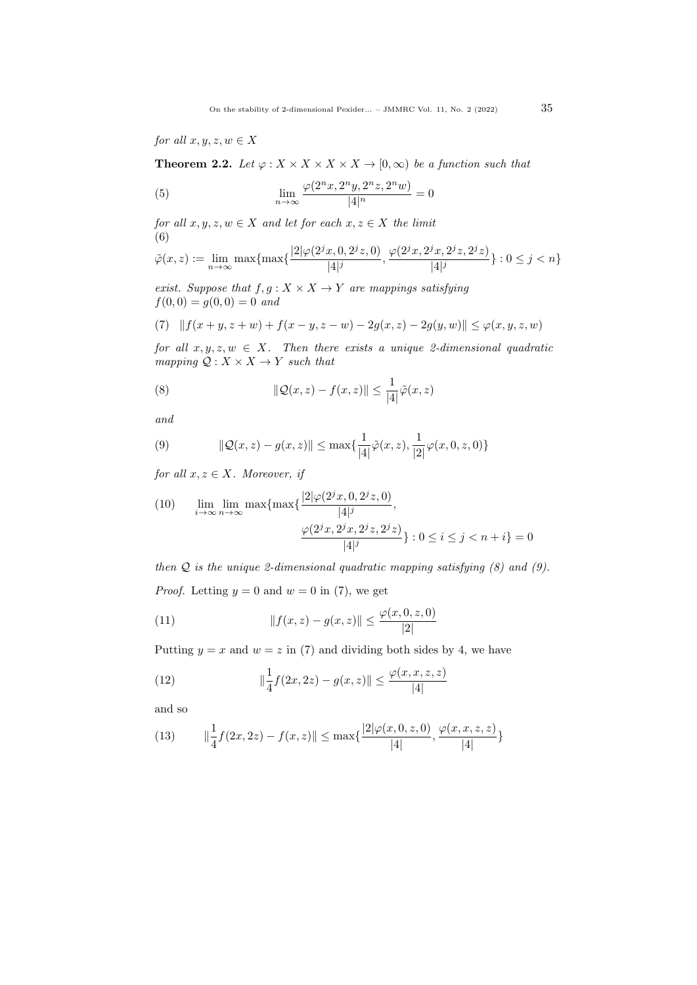for all  $x, y, z, w \in X$ 

**Theorem 2.2.** Let  $\varphi: X \times X \times X \times X \to [0, \infty)$  be a function such that

<span id="page-4-4"></span>(5) 
$$
\lim_{n \to \infty} \frac{\varphi(2^n x, 2^n y, 2^n z, 2^n w)}{|4|^n} = 0
$$

for all  $x, y, z, w \in X$  and let for each  $x, z \in X$  the limit (6) j

<span id="page-4-5"></span>
$$
\tilde{\varphi}(x, z) := \lim_{n \to \infty} \max \{ \max \{ \frac{|2|\varphi(2^{j}x, 0, 2^{j}z, 0)}{|4|^{j}}, \frac{\varphi(2^{j}x, 2^{j}x, 2^{j}z, 2^{j}z)}{|4|^{j}} \} : 0 \leq j < n \}
$$

exist. Suppose that  $f, g: X \times X \rightarrow Y$  are mappings satisfying  $f(0, 0) = q(0, 0) = 0$  and

<span id="page-4-2"></span>(7) 
$$
|| f(x + y, z + w) + f(x - y, z - w) - 2g(x, z) - 2g(y, w)|| \le \varphi(x, y, z, w)
$$

for all  $x, y, z, w \in X$ . Then there exists a unique 2-dimensional quadratic mapping  $Q: X \times X \rightarrow Y$  such that

<span id="page-4-0"></span>(8) 
$$
\|\mathcal{Q}(x,z) - f(x,z)\| \leq \frac{1}{|4|}\tilde{\varphi}(x,z)
$$

and

<span id="page-4-1"></span>(9) 
$$
\|\mathcal{Q}(x,z) - g(x,z)\| \le \max\{\frac{1}{|4|}\tilde{\varphi}(x,z), \frac{1}{|2|}\varphi(x,0,z,0)\}
$$

for all  $x, z \in X$ . Moreover, if

(10) 
$$
\lim_{i \to \infty} \lim_{n \to \infty} \max \{ \max \{ \frac{|2|\varphi(2^{j}x, 0, 2^{j}z, 0)}{|4|^{j}}, \frac{\varphi(2^{j}x, 2^{j}x, 2^{j}z, 2^{j}z)}{|4|^{j}} \} : 0 \le i \le j < n + i \} = 0
$$

then  $Q$  is the unique 2-dimensional quadratic mapping satisfying  $(8)$  and  $(9)$ . *Proof.* Letting  $y = 0$  and  $w = 0$  in [\(7\)](#page-4-2), we get

<span id="page-4-6"></span>(11) 
$$
||f(x, z) - g(x, z)|| \le \frac{\varphi(x, 0, z, 0)}{|2|}
$$

Putting  $y = x$  and  $w = z$  in [\(7\)](#page-4-2) and dividing both sides by 4, we have

(12) 
$$
\|\frac{1}{4}f(2x,2z) - g(x,z)\| \le \frac{\varphi(x,x,z,z)}{|4|}
$$

and so

<span id="page-4-3"></span>(13) 
$$
\|\frac{1}{4}f(2x,2z) - f(x,z)\| \le \max\{\frac{|2|\varphi(x,0,z,0)}{|4|}, \frac{\varphi(x,x,z,z)}{|4|}\}
$$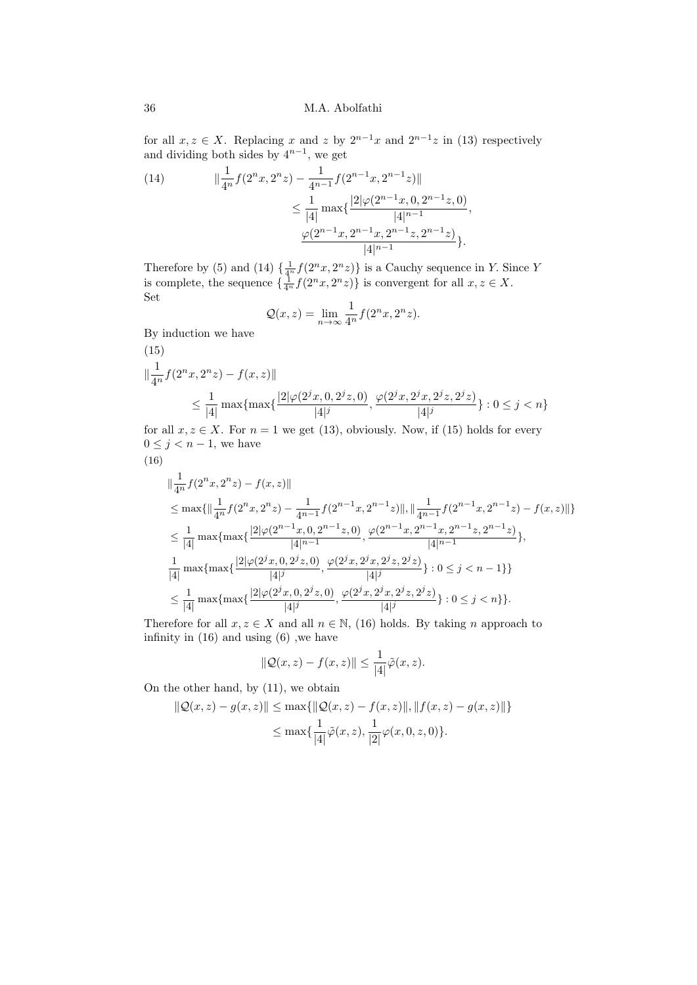for all  $x, z \in X$ . Replacing x and z by  $2^{n-1}x$  and  $2^{n-1}z$  in [\(13\)](#page-4-3) respectively and dividing both sides by  $4^{n-1}$ , we get

,

<span id="page-5-0"></span>(14) 
$$
\|\frac{1}{4^n} f(2^n x, 2^n z) - \frac{1}{4^{n-1}} f(2^{n-1} x, 2^{n-1} z)\|
$$

$$
\leq \frac{1}{|4|} \max\{\frac{|2|\varphi(2^{n-1} x, 0, 2^{n-1} z, 0)}{|4|^{n-1}} \frac{\varphi(2^{n-1} x, 2^{n-1} x, 2^{n-1} z, 2^{n-1} z)}{|4|^{n-1}}\}.
$$

Therefore by [\(5\)](#page-4-4) and [\(14\)](#page-5-0)  $\{\frac{1}{4^n}f(2^n x, 2^n z)\}\$ is a Cauchy sequence in Y. Since Y is complete, the sequence  $\{\frac{1}{4^n} f(2^n x, 2^n z)\}\$ is convergent for all  $x, z \in X$ . Set

$$
\mathcal{Q}(x,z) = \lim_{n \to \infty} \frac{1}{4^n} f(2^n x, 2^n z).
$$

By induction we have

<span id="page-5-1"></span>(15)  
\n
$$
\|\frac{1}{4^n} f(2^n x, 2^n z) - f(x, z)\|
$$
\n
$$
\leq \frac{1}{|4|} \max\{\max\{\frac{|2|\varphi(2^j x, 0, 2^j z, 0)}{|4|^j}, \frac{\varphi(2^j x, 2^j x, 2^j z, 2^j z)}{|4|^j}\} : 0 \leq j < n\}
$$

for all  $x, z \in X$ . For  $n = 1$  we get [\(13\)](#page-4-3), obviously. Now, if [\(15\)](#page-5-1) holds for every  $0 \leq j < n-1$ , we have

<span id="page-5-2"></span>
$$
(16)
$$

$$
\|\frac{1}{4^n}f(2^nx,2^nz)-f(x,z)\|
$$
\n
$$
\leq \max\{\|\frac{1}{4^n}f(2^nx,2^nz)-\frac{1}{4^{n-1}}f(2^{n-1}x,2^{n-1}z)\|,\|\frac{1}{4^{n-1}}f(2^{n-1}x,2^{n-1}z)-f(x,z)\|\}
$$
\n
$$
\leq \frac{1}{|4|}\max\{\max\{\frac{|2|\varphi(2^{n-1}x,0,2^{n-1}z,0)}{|4|^{n-1}},\frac{\varphi(2^{n-1}x,2^{n-1}x,2^{n-1}z,2^{n-1}z)}{|4|^{n-1}}\},\
$$
\n
$$
\frac{1}{|4|}\max\{\max\{\frac{|2|\varphi(2^jx,0,2^jz,0)}{|4|^j},\frac{\varphi(2^jx,2^jx,2^jz,2^jz)}{|4|^j}\}:0\leq j\n
$$
\leq \frac{1}{|4|}\max\{\max\{\frac{|2|\varphi(2^jx,0,2^jz,0)}{|4|^j},\frac{\varphi(2^jx,2^jx,2^jz,2^jz)}{|4|^j}\}:0\leq j
$$
$$

Therefore for all  $x, z \in X$  and all  $n \in \mathbb{N}$ , [\(16\)](#page-5-2) holds. By taking n approach to infinity in [\(16\)](#page-5-2) and using [\(6\)](#page-4-5) ,we have

$$
\|\mathcal{Q}(x,z) - f(x,z)\| \le \frac{1}{|4|}\tilde{\varphi}(x,z).
$$

On the other hand, by [\(11\)](#page-4-6), we obtain

$$
\|Q(x, z) - g(x, z)\| \le \max\{\|Q(x, z) - f(x, z)\|, \|f(x, z) - g(x, z)\|\}
$$
  

$$
\le \max\{\frac{1}{|4|}\tilde{\varphi}(x, z), \frac{1}{|2|}\varphi(x, 0, z, 0)\}.
$$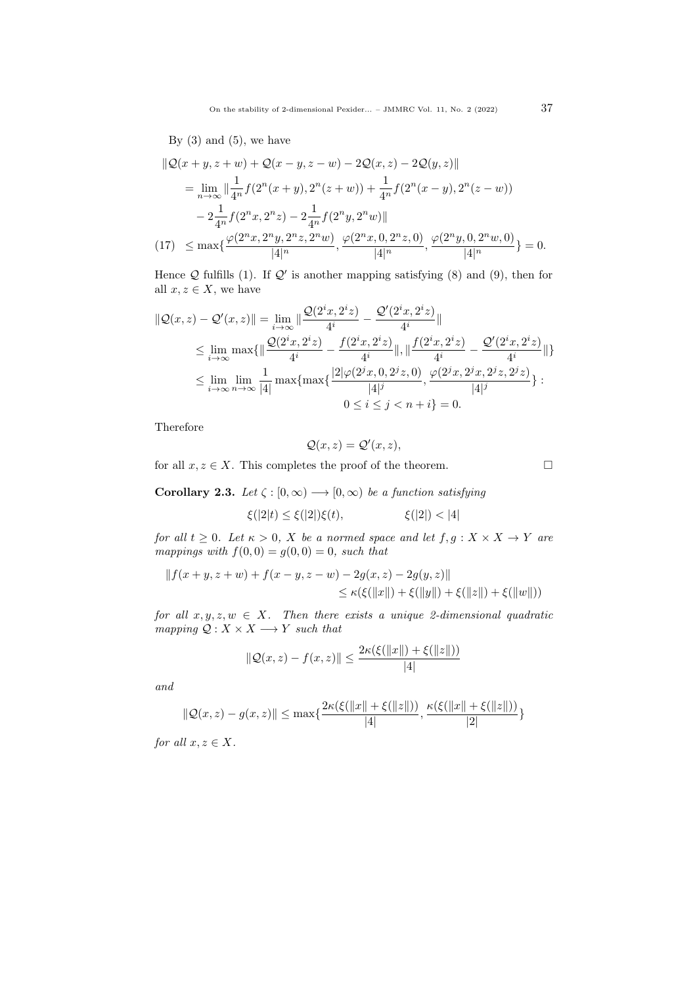On the stability of 2-dimensional Pexider... – JMMRC Vol. 11, No. 2 (2022)  $37$ 

By  $(3)$  and  $(5)$ , we have

$$
\begin{split} \|\mathcal{Q}(x+y,z+w) + \mathcal{Q}(x-y,z-w) - 2\mathcal{Q}(x,z) - 2\mathcal{Q}(y,z)\| \\ &= \lim_{n \to \infty} \|\frac{1}{4^n} f(2^n(x+y), 2^n(z+w)) + \frac{1}{4^n} f(2^n(x-y), 2^n(z-w)) \\ &- 2\frac{1}{4^n} f(2^n x, 2^n z) - 2\frac{1}{4^n} f(2^n y, 2^n w)\| \\ (17) \quad &\leq \max\{\frac{\varphi(2^n x, 2^n y, 2^n z, 2^n w)}{|4|^n}, \frac{\varphi(2^n x, 0, 2^n z, 0)}{|4|^n}, \frac{\varphi(2^n y, 0, 2^n w, 0)}{|4|^n}\} = 0. \end{split}
$$

Hence  $Q$  fulfills [\(1\)](#page-3-1). If  $Q'$  is another mapping satisfying [\(8\)](#page-4-0) and [\(9\)](#page-4-1), then for all  $x, z \in X$ , we have

$$
\begin{split} \|\mathcal{Q}(x,z) - \mathcal{Q}'(x,z)\| &= \lim_{i \to \infty} \|\frac{\mathcal{Q}(2^i x, 2^i z)}{4^i} - \frac{\mathcal{Q}'(2^i x, 2^i z)}{4^i}\| \\ &\leq \lim_{i \to \infty} \max\{\|\frac{\mathcal{Q}(2^i x, 2^i z)}{4^i} - \frac{f(2^i x, 2^i z)}{4^i}\|, \|\frac{f(2^i x, 2^i z)}{4^i} - \frac{\mathcal{Q}'(2^i x, 2^i z)}{4^i}\|\}\ \\ &\leq \lim_{i \to \infty} \lim_{n \to \infty} \frac{1}{|4|} \max\{\max\{\frac{|2|\varphi(2^j x, 0, 2^j z, 0)}{|4|^j}, \frac{\varphi(2^j x, 2^j x, 2^j z, 2^j z)}{|4|^j}\} : \\ &0 \leq i \leq j < n + i\} = 0. \end{split}
$$

Therefore

$$
\mathcal{Q}(x,z) = \mathcal{Q}'(x,z),
$$

for all  $x, z \in X$ . This completes the proof of the theorem.

Corollary 2.3. Let  $\zeta : [0, \infty) \longrightarrow [0, \infty)$  be a function satisfying

$$
\xi(|2|t) \le \xi(|2|)\xi(t), \qquad \xi(|2|) < |4|
$$

for all  $t \geq 0$ . Let  $\kappa > 0$ , X be a normed space and let  $f, g: X \times X \to Y$  are mappings with  $f(0, 0) = g(0, 0) = 0$ , such that

$$
|| f(x + y, z + w) + f(x - y, z - w) - 2g(x, z) - 2g(y, z)||
$$
  
\n
$$
\leq \kappa(\xi(||x||) + \xi(||y||) + \xi(||z||) + \xi(||w||))
$$

for all  $x, y, z, w \in X$ . Then there exists a unique 2-dimensional quadratic mapping  $Q: X \times X \longrightarrow Y$  such that

$$
\|\mathcal{Q}(x,z) - f(x,z)\| \le \frac{2\kappa(\xi(\|x\|) + \xi(\|z\|))}{|4|}
$$

and

$$
\|\mathcal{Q}(x,z) - g(x,z)\| \le \max\{\frac{2\kappa(\xi(\|x\| + \xi(\|z\|))}{|4|}, \frac{\kappa(\xi(\|x\| + \xi(\|z\|)))}{|2|}\}
$$

for all  $x, z \in X$ .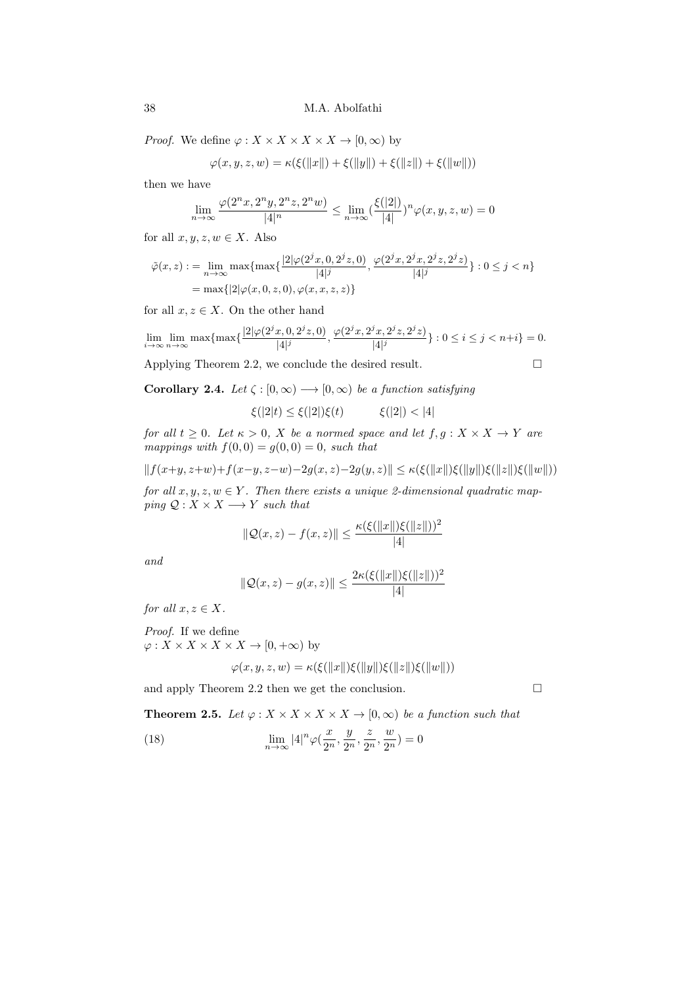*Proof.* We define  $\varphi: X \times X \times X \times X \to [0, \infty)$  by

$$
\varphi(x, y, z, w) = \kappa(\xi(||x||) + \xi(||y||) + \xi(||z||) + \xi(||w||))
$$

then we have

$$
\lim_{n\rightarrow\infty}\frac{\varphi(2^nx,2^ny,2^nz,2^nw)}{|4|^n}\leq \lim_{n\rightarrow\infty}(\frac{\xi(|2|)}{|4|})^n\varphi(x,y,z,w)=0
$$

for all  $x, y, z, w \in X$ . Also

$$
\tilde{\varphi}(x, z) := \lim_{n \to \infty} \max \{ \max \{ \frac{|2|\varphi(2^{j}x, 0, 2^{j}z, 0)}{|4|^{j}}, \frac{\varphi(2^{j}x, 2^{j}x, 2^{j}z, 2^{j}z)}{|4|^{j}} \} : 0 \le j < n \}
$$
\n
$$
= \max \{ |2|\varphi(x, 0, z, 0), \varphi(x, x, z, z) \}
$$

for all  $x, z \in X$ . On the other hand

$$
\lim_{i \to \infty} \lim_{n \to \infty} \max\{ \max\{ \frac{|2|\varphi(2^{j}x, 0, 2^{j}z, 0)}{|4|^{j}}, \frac{\varphi(2^{j}x, 2^{j}x, 2^{j}z, 2^{j}z)}{|4|^{j}} \} : 0 \le i \le j < n+i \} = 0.
$$

Applying Theorem 2.2, we conclude the desired result.

Corollary 2.4. Let  $\zeta : [0, \infty) \longrightarrow [0, \infty)$  be a function satisfying

$$
\xi(|2|t) \le \xi(|2|)\xi(t) \qquad \xi(|2|) < |4|
$$

for all  $t \geq 0$ . Let  $\kappa > 0$ , X be a normed space and let  $f, g: X \times X \to Y$  are mappings with  $f(0, 0) = g(0, 0) = 0$ , such that

$$
||f(x+y, z+w)+f(x-y, z-w)-2g(x, z)-2g(y, z)|| \leq \kappa(\xi(||x||)\xi(||y||)\xi(||z||)\xi(||w||))
$$

for all  $x, y, z, w \in Y$ . Then there exists a unique 2-dimensional quadratic mapping  $Q: X \times X \longrightarrow Y$  such that

$$
\|\mathcal{Q}(x,z) - f(x,z)\| \le \frac{\kappa(\xi(\|x\|)\xi(\|z\|))^2}{|4|}
$$

and

$$
\|\mathcal{Q}(x,z) - g(x,z)\| \le \frac{2\kappa(\xi(\|x\|)\xi(\|z\|))^2}{|4|}
$$

for all  $x, z \in X$ .

Proof. If we define  $\varphi: X \times X \times X \times X \to [0, +\infty)$  by

$$
\varphi(x, y, z, w) = \kappa(\xi(||x||)\xi(||y||)\xi(||z||)\xi(||w||))
$$

and apply Theorem 2.2 then we get the conclusion.

**Theorem 2.5.** Let  $\varphi: X \times X \times X \times X \to [0, \infty)$  be a function such that

(18)  $\lim_{n \to \infty} |4|^n \varphi(\frac{x}{2^n})$  $\frac{x}{2^n}, \frac{y}{2^n}$  $\frac{y}{2^n}, \frac{z}{2^n}$  $rac{z}{2^n}, \frac{w}{2^n}$  $\frac{\alpha}{2^n}$ ) = 0

$$
\mathcal{L}_{\mathcal{L}}
$$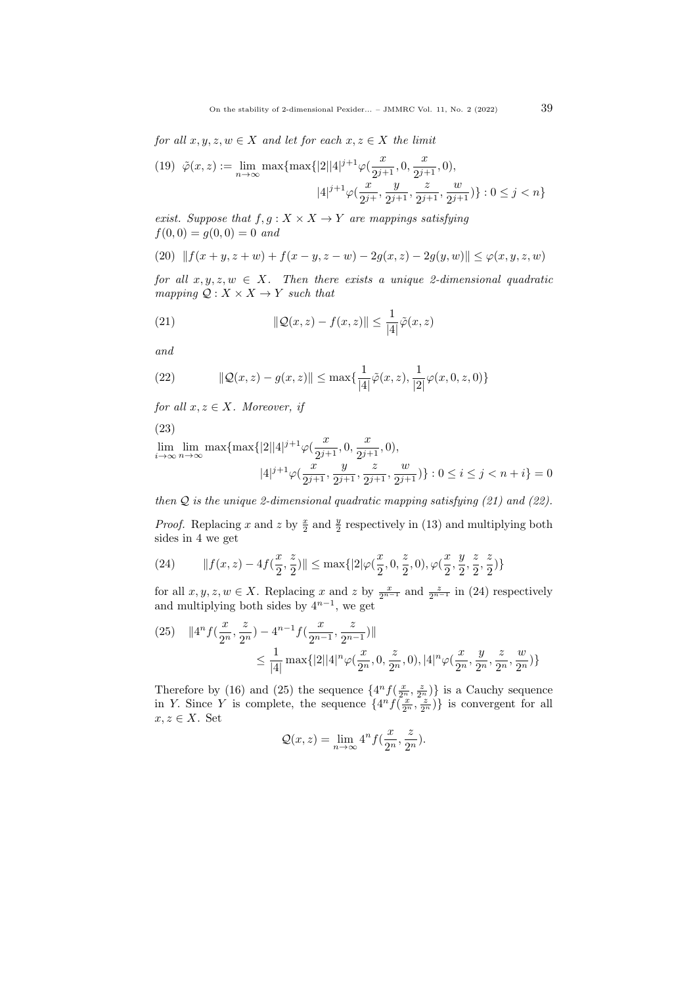for all  $x, y, z, w \in X$  and let for each  $x, z \in X$  the limit

$$
(19) \quad \tilde{\varphi}(x, z) := \lim_{n \to \infty} \max\{\max\{|2||4|^{j+1}\varphi(\frac{x}{2^{j+1}}, 0, \frac{x}{2^{j+1}}, 0),\tag{4}{j+1}\} : 0 \le j < n\}
$$

exist. Suppose that  $f, g: X \times X \rightarrow Y$  are mappings satisfying  $f(0, 0) = g(0, 0) = 0$  and

(20) 
$$
|| f(x + y, z + w) + f(x - y, z - w) - 2g(x, z) - 2g(y, w)|| \le \varphi(x, y, z, w)
$$

for all  $x, y, z, w \in X$ . Then there exists a unique 2-dimensional quadratic mapping  $Q: X \times X \rightarrow Y$  such that

<span id="page-8-0"></span>(21) 
$$
\|\mathcal{Q}(x,z) - f(x,z)\| \leq \frac{1}{|4|}\tilde{\varphi}(x,z)
$$

and

<span id="page-8-1"></span>(22) 
$$
\|\mathcal{Q}(x,z) - g(x,z)\| \le \max\{\frac{1}{|4|}\tilde{\varphi}(x,z), \frac{1}{|2|}\varphi(x,0,z,0)\}
$$

for all  $x, z \in X$ . Moreover, if

(23)

$$
\lim_{i \to \infty} \lim_{n \to \infty} \max\{\max\{|2||4|^{j+1}\varphi(\frac{x}{2^{j+1}}, 0, \frac{x}{2^{j+1}}, 0),\right.\\\|4|^{j+1}\varphi(\frac{x}{2^{j+1}}, \frac{y}{2^{j+1}}, \frac{z}{2^{j+1}}, \frac{w}{2^{j+1}})\}: 0 \le i \le j < n+i\} = 0
$$

then  $Q$  is the unique 2-dimensional quadratic mapping satisfying [\(21\)](#page-8-0) and [\(22\)](#page-8-1).

*Proof.* Replacing x and z by  $\frac{x}{2}$  and  $\frac{y}{2}$  respectively in [\(13\)](#page-4-3) and multiplying both sides in 4 we get

<span id="page-8-2"></span>(24) 
$$
\|f(x,z) - 4f(\frac{x}{2},\frac{z}{2})\| \le \max\{|2|\varphi(\frac{x}{2},0,\frac{z}{2},0),\varphi(\frac{x}{2},\frac{y}{2},\frac{z}{2},\frac{z}{2})\}
$$

for all  $x, y, z, w \in X$ . Replacing x and z by  $\frac{x}{2^{n-1}}$  and  $\frac{z}{2^{n-1}}$  in [\(24\)](#page-8-2) respectively and multiplying both sides by  $4^{n-1}$ , we get

<span id="page-8-3"></span>
$$
(25) \quad \|4^n f\left(\frac{x}{2^n}, \frac{z}{2^n}\right) - 4^{n-1} f\left(\frac{x}{2^{n-1}}, \frac{z}{2^{n-1}}\right)\|
$$
  

$$
\leq \frac{1}{|4|} \max\{|2||4|^n \varphi\left(\frac{x}{2^n}, 0, \frac{z}{2^n}, 0\right), |4|^n \varphi\left(\frac{x}{2^n}, \frac{y}{2^n}, \frac{z}{2^n}, \frac{w}{2^n}\right)\}
$$

Therefore by [\(16\)](#page-5-2) and [\(25\)](#page-8-3) the sequence  $\{4^n f(\frac{x}{2^n}, \frac{z}{2^n})\}$  is a Cauchy sequence in Y. Since Y is complete, the sequence  $\{4^n f(\frac{x}{2^n}, \frac{z}{2^n})\}$  is convergent for all  $x, z \in X$ . Set

$$
\mathcal{Q}(x,z) = \lim_{n \to \infty} 4^n f(\frac{x}{2^n}, \frac{z}{2^n}).
$$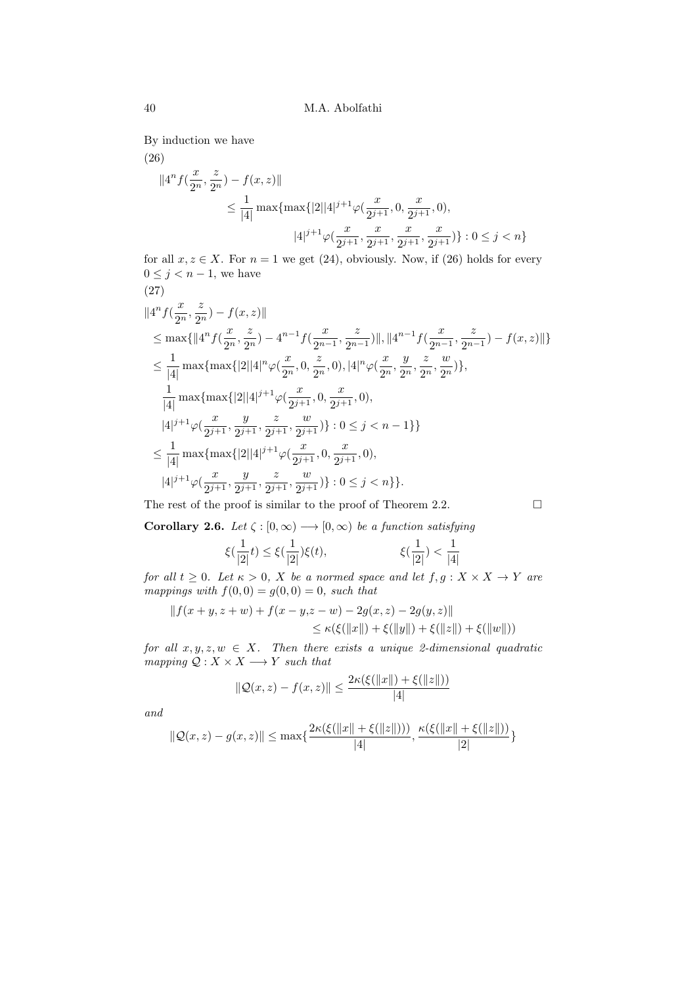By induction we have

<span id="page-9-0"></span>(26)

$$
||4^n f(\frac{x}{2^n}, \frac{z}{2^n}) - f(x, z)||
$$
  
\n
$$
\leq \frac{1}{|4|} \max\{\max\{|2||4|^{j+1}\varphi(\frac{x}{2^{j+1}}, 0, \frac{x}{2^{j+1}}, 0),\
$$
  
\n
$$
|4|^{j+1}\varphi(\frac{x}{2^{j+1}}, \frac{x}{2^{j+1}}, \frac{x}{2^{j+1}}, \frac{x}{2^{j+1}})\} : 0 \leq j < n\}
$$

for all  $x, z \in X$ . For  $n = 1$  we get [\(24\)](#page-8-2), obviously. Now, if [\(26\)](#page-9-0) holds for every  $0 \leq j < n-1$ , we have (27)

$$
||4^{n} f(\frac{x}{2^{n}}, \frac{z}{2^{n}}) - f(x, z)||
$$
  
\n
$$
\leq \max\{||4^{n} f(\frac{x}{2^{n}}, \frac{z}{2^{n}}) - 4^{n-1} f(\frac{x}{2^{n-1}}, \frac{z}{2^{n-1}})||, ||4^{n-1} f(\frac{x}{2^{n-1}}, \frac{z}{2^{n-1}}) - f(x, z)||\}
$$
  
\n
$$
\leq \frac{1}{|4|} \max\{\max\{|2||4|^{n}\varphi(\frac{x}{2^{n}}, 0, \frac{z}{2^{n}}, 0), |4|^{n}\varphi(\frac{x}{2^{n}}, \frac{y}{2^{n}}, \frac{z}{2^{n}}, \frac{w}{2^{n}})\},\
$$
  
\n
$$
\frac{1}{|4|} \max\{\max\{|2||4|^{j+1}\varphi(\frac{x}{2^{j+1}}, 0, \frac{x}{2^{j+1}}, 0),\
$$
  
\n
$$
|4|^{j+1}\varphi(\frac{x}{2^{j+1}}, \frac{y}{2^{j+1}}, \frac{z}{2^{j+1}}, \frac{w}{2^{j+1}})\}: 0 \leq j < n - 1\}
$$
  
\n
$$
\leq \frac{1}{|4|} \max\{\max\{|2||4|^{j+1}\varphi(\frac{x}{2^{j+1}}, 0, \frac{x}{2^{j+1}}, 0),\}
$$
  
\n
$$
|4|^{j+1}\varphi(\frac{x}{2^{j+1}}, \frac{y}{2^{j+1}}, \frac{z}{2^{j+1}}, \frac{w}{2^{j+1}})\}: 0 \leq j < n\} \}.
$$

The rest of the proof is similar to the proof of Theorem 2.2.  $\Box$ 

Corollary 2.6. Let  $\zeta : [0, \infty) \longrightarrow [0, \infty)$  be a function satisfying

$$
\xi(\frac{1}{|2|}t)\leq \xi(\frac{1}{|2|})\xi(t),~~\xi(\frac{1}{|2|})<\frac{1}{|4|}
$$

for all  $t \geq 0$ . Let  $\kappa > 0$ , X be a normed space and let  $f, g: X \times X \rightarrow Y$  are mappings with  $f(0, 0) = g(0, 0) = 0$ , such that

$$
|| f(x + y, z + w) + f(x - y, z - w) - 2g(x, z) - 2g(y, z)||
$$
  
\n
$$
\leq \kappa(\xi(||x||) + \xi(||y||) + \xi(||z||) + \xi(||w||))
$$

for all  $x, y, z, w \in X$ . Then there exists a unique 2-dimensional quadratic mapping  $\mathcal{Q}: X \times X \longrightarrow Y$  such that

$$
\|\mathcal{Q}(x,z) - f(x,z)\| \le \frac{2\kappa(\xi(\|x\|) + \xi(\|z\|))}{|4|}
$$

and

$$
\|\mathcal{Q}(x,z) - g(x,z)\| \le \max\{\frac{2\kappa(\xi(\|x\| + \xi(\|z\|)))}{|4|}, \frac{\kappa(\xi(\|x\| + \xi(\|z\|)))}{|2|}\}
$$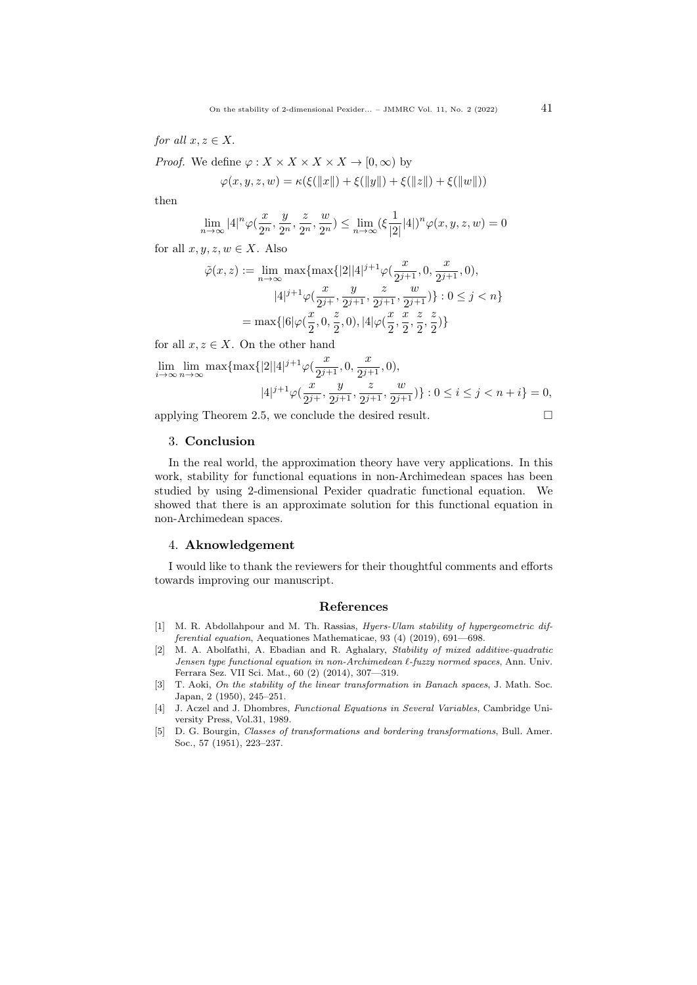for all  $x, z \in X$ .

*Proof.* We define  $\varphi: X \times X \times X \times X \to [0, \infty)$  by

$$
\varphi(x, y, z, w) = \kappa(\xi(||x||) + \xi(||y||) + \xi(||z||) + \xi(||w||))
$$

then

$$
\lim_{n \to \infty} |4|^n \varphi(\frac{x}{2^n}, \frac{y}{2^n}, \frac{z}{2^n}, \frac{w}{2^n}) \le \lim_{n \to \infty} (\xi \frac{1}{|2|} |4|)^n \varphi(x, y, z, w) = 0
$$

for all  $x, y, z, w \in X$ . Also

$$
\tilde{\varphi}(x, z) := \lim_{n \to \infty} \max \{ \max \{ |2||4|^{j+1} \varphi(\frac{x}{2^{j+1}}, 0, \frac{x}{2^{j+1}}, 0), \newline |4|^{j+1} \varphi(\frac{x}{2^{j+1}}, \frac{y}{2^{j+1}}, \frac{z}{2^{j+1}}, \frac{w}{2^{j+1}}) \} : 0 \le j < n \}
$$
\n
$$
= \max \{ |6| \varphi(\frac{x}{2}, 0, \frac{z}{2}, 0), |4| \varphi(\frac{x}{2}, \frac{x}{2}, \frac{z}{2}, \frac{z}{2}) \}
$$

for all  $x, z \in X$ . On the other hand

$$
\lim_{i \to \infty} \lim_{n \to \infty} \max\{\max\{|2||4|^{j+1}\varphi(\frac{x}{2^{j+1}}, 0, \frac{x}{2^{j+1}}, 0),\right.\\
|4|^{j+1}\varphi(\frac{x}{2^{j+1}}, \frac{y}{2^{j+1}}, \frac{z}{2^{j+1}}, \frac{w}{2^{j+1}})\}: 0 \le i \le j < n+i\} = 0,
$$

applying Theorem 2.5, we conclude the desired result.

$$
\Box
$$

### 3. Conclusion

In the real world, the approximation theory have very applications. In this work, stability for functional equations in non-Archimedean spaces has been studied by using 2-dimensional Pexider quadratic functional equation. We showed that there is an approximate solution for this functional equation in non-Archimedean spaces.

## 4. Aknowledgement

I would like to thank the reviewers for their thoughtful comments and efforts towards improving our manuscript.

## References

- <span id="page-10-3"></span>[1] M. R. Abdollahpour and M. Th. Rassias, *Hyers-Ulam stability of hypergeometric dif*ferential equation, Aequationes Mathematicae, 93 (4) (2019), 691—698.
- <span id="page-10-4"></span>[2] M. A. Abolfathi, A. Ebadian and R. Aghalary, Stability of mixed additive-quadratic Jensen type functional equation in non-Archimedean  $\ell$ -fuzzy normed spaces, Ann. Univ. Ferrara Sez. VII Sci. Mat., 60 (2) (2014), 307—319.
- <span id="page-10-1"></span>[3] T. Aoki, On the stability of the linear transformation in Banach spaces, J. Math. Soc. Japan, 2 (1950), 245–251.
- <span id="page-10-2"></span>[4] J. Aczel and J. Dhombres, Functional Equations in Several Variables, Cambridge University Press, Vol.31, 1989.
- <span id="page-10-0"></span>[5] D. G. Bourgin, Classes of transformations and bordering transformations, Bull. Amer. Soc., 57 (1951), 223–237.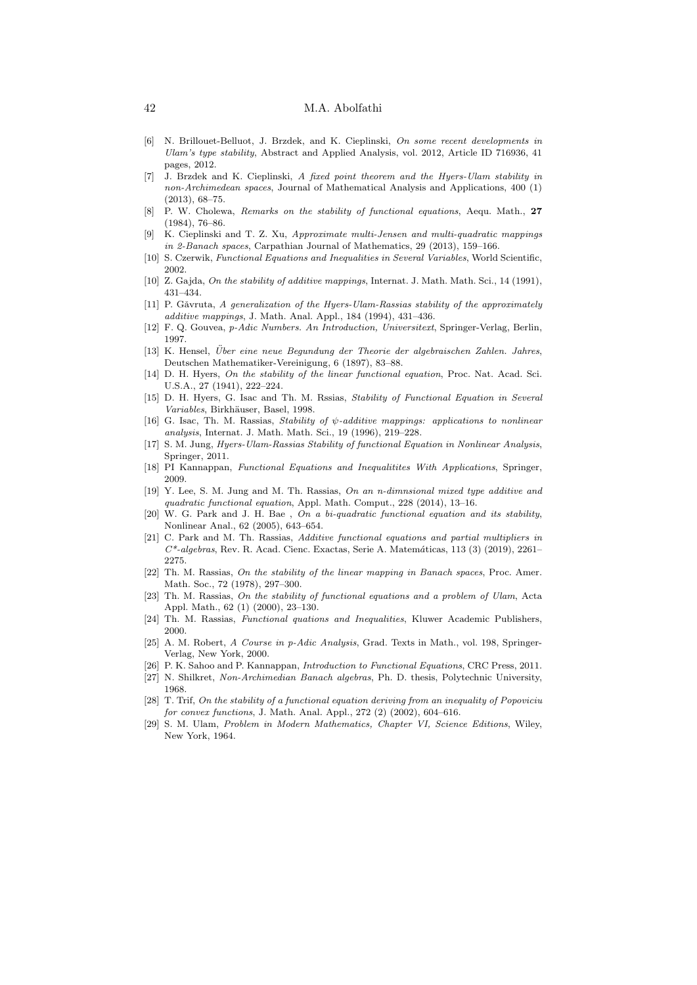## 42 M.A. Abolfathi

- <span id="page-11-15"></span>[6] N. Brillouet-Belluot, J. Brzdek, and K. Cieplinski, On some recent developments in Ulam's type stability, Abstract and Applied Analysis, vol. 2012, Article ID 716936, 41 pages, 2012.
- <span id="page-11-16"></span>[7] J. Brzdek and K. Cieplinski, A fixed point theorem and the Hyers-Ulam stability in non-Archimedean spaces, Journal of Mathematical Analysis and Applications, 400 (1) (2013), 68–75.
- <span id="page-11-23"></span>[8] P. W. Cholewa, Remarks on the stability of functional equations, Aequ. Math., 27 (1984), 76–86.
- <span id="page-11-17"></span>[9] K. Cieplinski and T. Z. Xu, Approximate multi-Jensen and multi-quadratic mappings in 2-Banach spaces, Carpathian Journal of Mathematics, 29 (2013), 159–166.
- <span id="page-11-10"></span>[10] S. Czerwik, Functional Equations and Inequalities in Several Variables, World Scientific, 2002.
- <span id="page-11-7"></span>[10] Z. Gajda, On the stability of additive mappings, Internat. J. Math. Math. Sci., 14 (1991), 431–434.
- <span id="page-11-9"></span>[11] P. Gǎvruta, A generalization of the Hyers-Ulam-Rassias stability of the approximately additive mappings, J. Math. Anal. Appl., 184 (1994), 431–436.
- <span id="page-11-1"></span>[12] F. Q. Gouvea, p-Adic Numbers. An Introduction, Universitext, Springer-Verlag, Berlin, 1997.
- <span id="page-11-0"></span>[13] K. Hensel, Über eine neue Begundung der Theorie der algebraischen Zahlen. Jahres, Deutschen Mathematiker-Vereinigung, 6 (1897), 83–88.
- <span id="page-11-5"></span>[14] D. H. Hyers, On the stability of the linear functional equation, Proc. Nat. Acad. Sci. U.S.A., 27 (1941), 222–224.
- <span id="page-11-18"></span>[15] D. H. Hyers, G. Isac and Th. M. Rssias, Stability of Functional Equation in Several Variables, Birkhäuser, Basel, 1998.
- <span id="page-11-19"></span>[16] G. Isac, Th. M. Rassias, Stability of ψ-additive mappings: applications to nonlinear analysis, Internat. J. Math. Math. Sci., 19 (1996), 219–228.
- <span id="page-11-11"></span>[17] S. M. Jung, Hyers-Ulam-Rassias Stability of functional Equation in Nonlinear Analysis, Springer, 2011.
- <span id="page-11-20"></span>[18] PI Kannappan, Functional Equations and Inequalitites With Applications, Springer, 2009.
- <span id="page-11-12"></span>[19] Y. Lee, S. M. Jung and M. Th. Rassias, On an n-dimnsional mixed type additive and quadratic functional equation, Appl. Math. Comput., 228 (2014), 13–16.
- <span id="page-11-24"></span>[20] W. G. Park and J. H. Bae , On a bi-quadratic functional equation and its stability, Nonlinear Anal., 62 (2005), 643–654.
- <span id="page-11-21"></span>[21] C. Park and M. Th. Rassias, Additive functional equations and partial multipliers in C\*-algebras, Rev. R. Acad. Cienc. Exactas, Serie A. Matem´aticas, 113 (3) (2019), 2261– 2275.
- <span id="page-11-6"></span>[22] Th. M. Rassias, On the stability of the linear mapping in Banach spaces, Proc. Amer. Math. Soc., 72 (1978), 297–300.
- <span id="page-11-22"></span>[23] Th. M. Rassias, On the stability of functional equations and a problem of Ulam, Acta Appl. Math., 62 (1) (2000), 23–130.
- <span id="page-11-13"></span>[24] Th. M. Rassias, Functional quations and Inequalities, Kluwer Academic Publishers, 2000.
- <span id="page-11-2"></span>[25] A. M. Robert, A Course in p-Adic Analysis, Grad. Texts in Math., vol. 198, Springer-Verlag, New York, 2000.
- <span id="page-11-14"></span>[26] P. K. Sahoo and P. Kannappan, Introduction to Functional Equations, CRC Press, 2011.
- <span id="page-11-3"></span>[27] N. Shilkret, Non-Archimedian Banach algebras, Ph. D. thesis, Polytechnic University, 1968.
- <span id="page-11-8"></span>[28] T. Trif, On the stability of a functional equation deriving from an inequality of Popoviciu for convex functions, J. Math. Anal. Appl., 272 (2) (2002), 604–616.
- <span id="page-11-4"></span>[29] S. M. Ulam, Problem in Modern Mathematics, Chapter VI, Science Editions, Wiley, New York, 1964.